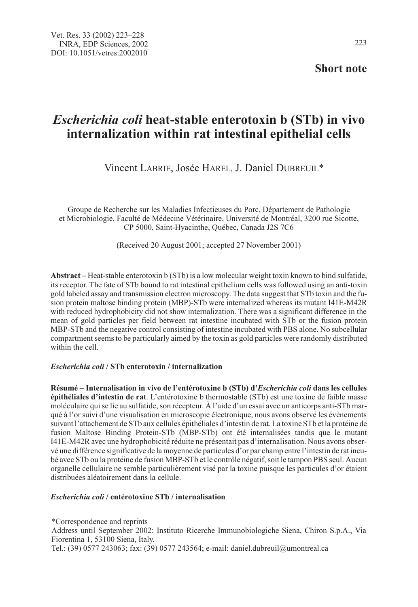Short note

# Escherichia coli heat-stable enterotoxin b (STb) in vivo internalization within rat intestinal epithelial cells

Vincent LABRIE, Josée HAREL, J. Daniel DUBREUIL\*

Groupe de Recherche sur les Maladies Infectieuses du Porc, Département de Pathologie et Microbiologie, Faculté de Médecine Vétérinaire, Université de Montréal, 3200 rue Sicotte, CP 5000, Saint-Hyacinthe, Québec, Canada J2S 7C6

(Received 20 August 2001; accepted 27 November 2001)

Abstract – Heat-stable enterotoxin b (STb) is a low molecular weight toxin known to bind sulfatide, its receptor. The fate of STb bound to rat intestinal epithelium cells was followed using an anti-toxin gold labeled assay and transmission electron microscopy. The data suggest that STb toxin and the fusion protein maltose binding protein (MBP)-STb were internalized whereas its mutant I41E-M42R with reduced hydrophobicity did not show internalization. There was a significant difference in the mean of gold particles per field between rat intestine incubated with STb or the fusion protein MBP-STb and the negative control consisting of intestine incubated with PBS alone. No subcellular compartment seems to be particularly aimed by the toxin as gold particles were randomly distributed within the cell.

# Escherichia coli / STb enterotoxin / internalization

Résumé – Internalisation in vivo de l'entérotoxine b (STb) d'Escherichia coli dans les cellules épithéliales d'intestin de rat. L'entérotoxine b thermostable (STb) est une toxine de faible masse moléculaire qui se lie au sulfatide, son récepteur. À l'aide d'un essai avec un anticorps anti-STb marqué à l'or suivi d'une visualisation en microscopie électronique, nous avons observé les évènements suivant l'attachement de STb aux cellules épithéliales d'intestin de rat. La toxine STb et la protéine de fusion Maltose Binding Protein-STb (MBP-STb) ont été internalisées tandis que le mutant I41E-M42R avec une hydrophobicité réduite ne présentait pas d'internalisation. Nous avons observé une différence significative de la moyenne de particules d'or par champ entre l'intestin de rat incubé avec STb ou la protéine de fusion MBP-STb et le contrôle négatif, soit le tampon PBS seul. Aucun organelle cellulaire ne semble particulièrement visé par la toxine puisque les particules d'or étaient distribuées aléatoirement dans la cellule.

# Escherichia coli / entérotoxine STb / internalisation

<sup>\*</sup>Correspondence and reprints

Address until September 2002: Instituto Ricerche Immunobiologiche Siena, Chiron S.p.A., Via Fiorentina 1, 53100 Siena, Italy.

Tel.: (39) 0577 243063; fax: (39) 0577 243564; e-mail: daniel.dubreuil@umontreal.ca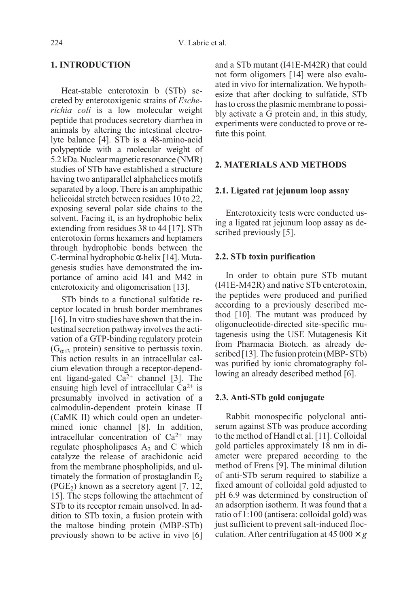## 1. INTRODUCTION

Heat-stable enterotoxin b (STb) secreted by enterotoxigenic strains of Escherichia coli is a low molecular weight peptide that produces secretory diarrhea in animals by altering the intestinal electrolyte balance [4]. STb is a 48-amino-acid polypeptide with a molecular weight of 5.2 kDa. Nuclear magnetic resonance (NMR) studies of STb have established a structure having two antiparallel alphahelices motifs separated by a loop. There is an amphipathic helicoidal stretch between residues 10 to 22, exposing several polar side chains to the solvent. Facing it, is an hydrophobic helix extending from residues 38 to 44 [17]. STb enterotoxin forms hexamers and heptamers through hydrophobic bonds between the C-terminal hydrophobic α-helix [14]. Mutagenesis studies have demonstrated the importance of amino acid I41 and M42 in enterotoxicity and oligomerisation [13].

STb binds to a functional sulfatide receptor located in brush border membranes [16]. In vitro studies have shown that the intestinal secretion pathway involves the activation of a GTP-binding regulatory protein  $(G_{\alpha 3} \text{ protein})$  sensitive to pertussis toxin. This action results in an intracellular calcium elevation through a receptor-dependent ligand-gated  $Ca^{2+}$  channel [3]. The ensuing high level of intracellular  $Ca^{2+}$  is presumably involved in activation of a calmodulin-dependent protein kinase II (CaMK II) which could open an undetermined ionic channel [8]. In addition, intracellular concentration of  $Ca^{2+}$  may regulate phospholipases  $A_2$  and C which catalyze the release of arachidonic acid from the membrane phospholipids, and ultimately the formation of prostaglandin  $E<sub>2</sub>$  $(PGE<sub>2</sub>)$  known as a secretory agent [7, 12, 15]. The steps following the attachment of STb to its receptor remain unsolved. In addition to STb toxin, a fusion protein with the maltose binding protein (MBP-STb) previously shown to be active in vivo [6] and a STb mutant (I41E-M42R) that could not form oligomers [14] were also evaluated in vivo for internalization. We hypothesize that after docking to sulfatide, STb has to cross the plasmic membrane to possibly activate a G protein and, in this study, experiments were conducted to prove or refute this point.

# 2. MATERIALS AND METHODS

# 2.1. Ligated rat jejunum loop assay

Enterotoxicity tests were conducted using a ligated rat jejunum loop assay as described previously [5].

#### 2.2. STb toxin purification

In order to obtain pure STb mutant (I41E-M42R) and native STb enterotoxin, the peptides were produced and purified according to a previously described method [10]. The mutant was produced by oligonucleotide-directed site-specific mutagenesis using the USE Mutagenesis Kit from Pharmacia Biotech. as already described [13]. The fusion protein (MBP- STb) was purified by ionic chromatography following an already described method [6].

## 2.3. Anti-STb gold conjugate

Rabbit monospecific polyclonal antiserum against STb was produce according to the method of Handl et al. [11]. Colloidal gold particles approximately 18 nm in diameter were prepared according to the method of Frens [9]. The minimal dilution of anti-STb serum required to stabilize a fixed amount of colloidal gold adjusted to pH 6.9 was determined by construction of an adsorption isotherm. It was found that a ratio of 1:100 (antisera: colloidal gold) was just sufficient to prevent salt-induced flocculation. After centrifugation at  $45000 \times g$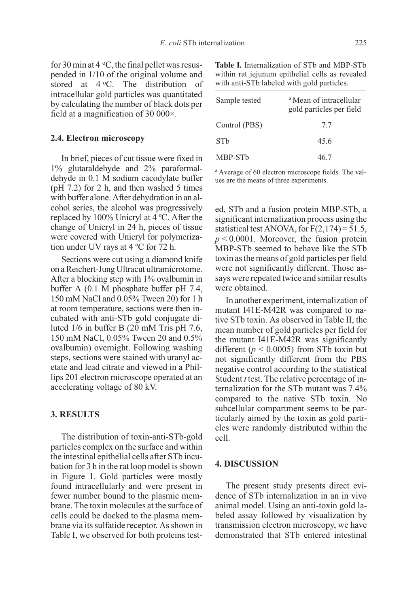for 30 min at 4  $\rm{^{\circ}C}$ , the final pellet was resuspended in 1/10 of the original volume and stored at  $4^{\circ}$ C. The distribution of intracellular gold particles was quantitated by calculating the number of black dots per field at a magnification of 30 000×.

## 2.4. Electron microscopy

In brief, pieces of cut tissue were fixed in 1% glutaraldehyde and 2% paraformaldehyde in 0.1 M sodium cacodylate buffer  $(pH 7.2)$  for 2 h, and then washed 5 times with buffer alone. After dehydration in an alcohol series, the alcohol was progressively replaced by 100% Unicryl at 4 ºC. After the change of Unicryl in 24 h, pieces of tissue were covered with Unicryl for polymerization under UV rays at 4 ºC for 72 h.

Sections were cut using a diamond knife on a Reichert-Jung Ultracut ultramicrotome. After a blocking step with 1% ovalbumin in buffer A (0.1 M phosphate buffer pH 7.4, 150 mM NaCl and 0.05% Tween 20) for 1 h at room temperature, sections were then incubated with anti-STb gold conjugate diluted 1/6 in buffer B (20 mM Tris pH 7.6, 150 mM NaCl, 0.05% Tween 20 and 0.5% ovalbumin) overnight. Following washing steps, sections were stained with uranyl acetate and lead citrate and viewed in a Phillips 201 electron microscope operated at an accelerating voltage of 80 kV.

## 3. RESULTS

The distribution of toxin-anti-STb-gold particles complex on the surface and within the intestinal epithelial cells after STb incubation for 3 h in the rat loop model is shown in Figure 1. Gold particles were mostly found intracellularly and were present in fewer number bound to the plasmic membrane. The toxin molecules at the surface of cells could be docked to the plasma membrane via its sulfatide receptor. As shown in Table I, we observed for both proteins test-

Table I. Internalization of STb and MBP-STb within rat jejunum epithelial cells as revealed with anti-STb labeled with gold particles.

| Sample tested   | <sup>a</sup> Mean of intracellular<br>gold particles per field |
|-----------------|----------------------------------------------------------------|
| Control (PBS)   | 7.7                                                            |
| ST <sub>b</sub> | 45.6                                                           |
| MBP-STb         | 46.7                                                           |

<sup>a</sup> Average of 60 electron microscope fields. The values are the means of three experiments.

ed, STb and a fusion protein MBP-STb, a significant internalization process using the statistical test ANOVA, for  $F(2,174) = 51.5$ ,  $p \le 0.0001$ . Moreover, the fusion protein MBP-STb seemed to behave like the STb toxin as the means of gold particles per field were not significantly different. Those assays were repeated twice and similar results were obtained.

In another experiment, internalization of mutant I41E-M42R was compared to native STb toxin. As observed in Table II, the mean number of gold particles per field for the mutant I41E-M42R was significantly different ( $p \le 0.0005$ ) from STb toxin but not significantly different from the PBS negative control according to the statistical Student *t* test. The relative percentage of internalization for the STb mutant was 7.4% compared to the native STb toxin. No subcellular compartment seems to be particularly aimed by the toxin as gold particles were randomly distributed within the cell.

# 4. DISCUSSION

The present study presents direct evidence of STb internalization in an in vivo animal model. Using an anti-toxin gold labeled assay followed by visualization by transmission electron microscopy, we have demonstrated that STb entered intestinal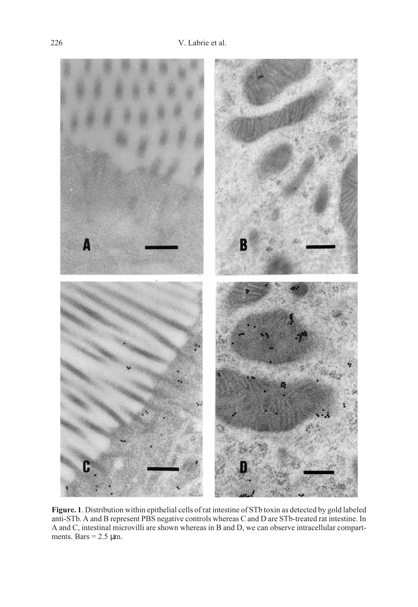

Figure. 1. Distribution within epithelial cells of rat intestine of STb toxin as detected by gold labeled anti-STb. A and B represent PBS negative controls whereas C and D are STb-treated rat intestine. In A and C, intestinal microvilli are shown whereas in B and D, we can observe intracellular compartments. Bars =  $2.5 \mu m$ .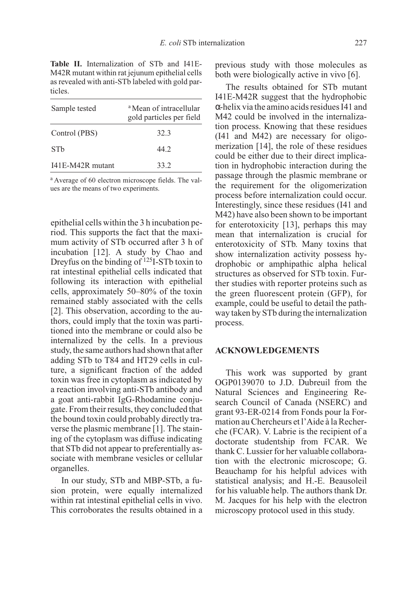Table II. Internalization of STb and I41E-M42R mutant within rat jejunum epithelial cells as revealed with anti-STb labeled with gold particles.

| Sample tested    | <sup>a</sup> Mean of intracellular<br>gold particles per field |
|------------------|----------------------------------------------------------------|
| Control (PBS)    | 32.3                                                           |
| ST <sub>b</sub>  | 44.2                                                           |
| I41E-M42R mutant | 33.2                                                           |

<sup>a</sup> Average of 60 electron microscope fields. The values are the means of two experiments.

epithelial cells within the 3 h incubation period. This supports the fact that the maximum activity of STb occurred after 3 h of incubation [12]. A study by Chao and Dreyfus on the binding of <sup>125</sup>I-STb toxin to rat intestinal epithelial cells indicated that following its interaction with epithelial cells, approximately 50–80% of the toxin remained stably associated with the cells [2]. This observation, according to the authors, could imply that the toxin was partitioned into the membrane or could also be internalized by the cells. In a previous study, the same authors had shown that after adding STb to T84 and HT29 cells in culture, a significant fraction of the added toxin was free in cytoplasm as indicated by a reaction involving anti-STb antibody and a goat anti-rabbit IgG-Rhodamine conjugate. From their results, they concluded that the bound toxin could probably directly traverse the plasmic membrane [1]. The staining of the cytoplasm was diffuse indicating that STb did not appear to preferentially associate with membrane vesicles or cellular organelles.

In our study, STb and MBP-STb, a fusion protein, were equally internalized within rat intestinal epithelial cells in vivo. This corroborates the results obtained in a

previous study with those molecules as both were biologically active in vivo [6].

The results obtained for STb mutant I41E-M42R suggest that the hydrophobic α-helix via the amino acids residues I41 and M42 could be involved in the internalization process. Knowing that these residues (I41 and M42) are necessary for oligomerization [14], the role of these residues could be either due to their direct implication in hydrophobic interaction during the passage through the plasmic membrane or the requirement for the oligomerization process before internalization could occur. Interestingly, since these residues (I41 and M42) have also been shown to be important for enterotoxicity [13], perhaps this may mean that internalization is crucial for enterotoxicity of STb. Many toxins that show internalization activity possess hydrophobic or amphipathic alpha helical structures as observed for STb toxin. Further studies with reporter proteins such as the green fluorescent protein (GFP), for example, could be useful to detail the pathway taken by STb during the internalization process.

## ACKNOWLEDGEMENTS

This work was supported by grant OGP0139070 to J.D. Dubreuil from the Natural Sciences and Engineering Research Council of Canada (NSERC) and grant 93-ER-0214 from Fonds pour la Formation au Chercheurs et l'Aide à la Recherche (FCAR). V. Labrie is the recipient of a doctorate studentship from FCAR. We thank C. Lussier for her valuable collaboration with the electronic microscope; G. Beauchamp for his helpful advices with statistical analysis; and H.-E. Beausoleil for his valuable help. The authors thank Dr. M. Jacques for his help with the electron microscopy protocol used in this study.